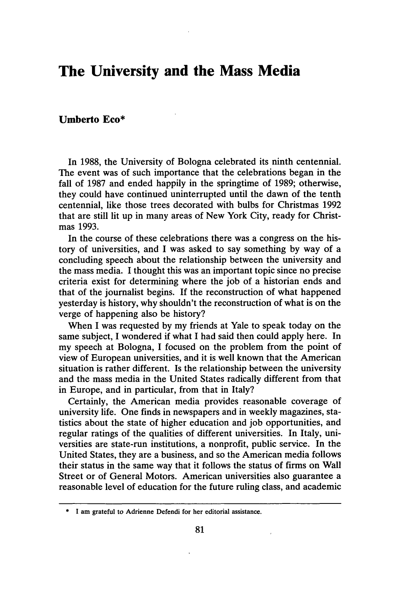# **The University and the Mass Media**

## **Umberto Eco\***

In 1988, the University of Bologna celebrated its ninth centennial. The event was of such importance that the celebrations began in the fall of 1987 and ended happily in the springtime of 1989; otherwise, they could have continued uninterrupted until the dawn of the tenth centennial, like those trees decorated with bulbs for Christmas 1992 that are still lit up in many areas of New York City, ready for Christmas 1993.

In the course of these celebrations there was a congress on the history of universities, and I was asked to say something by way of a concluding speech about the relationship between the university and the mass media. I thought this was an important topic since no precise criteria exist for determining where the job of a historian ends and that of the journalist begins. If the reconstruction of what happened yesterday is history, why shouldn't the reconstruction of what is on the verge of happening also be history?

When I was requested by my friends at Yale to speak today on the same subject, I wondered if what I had said then could apply here. In my speech at Bologna, I focused on the problem from the point of view of European universities, and it is well known that the American situation is rather different. Is the relationship between the university and the mass media in the United States radically different from that in Europe, and in particular, from that in Italy?

Certainly, the American media provides reasonable coverage of university life. One finds in newspapers and in weekly magazines, statistics about the state of higher education and job opportunities, and regular ratings of the qualities of different universities. In Italy, universities are state-run institutions, a nonprofit, public service. In the United States, they are a business, and so the American media follows their status in the same way that it follows the status of firms on Wall Street or of General Motors. American universities also guarantee a reasonable level of education for the future ruling class, and academic

**<sup>\*</sup> I** am grateful to Adrienne Defendi for her editorial assistance.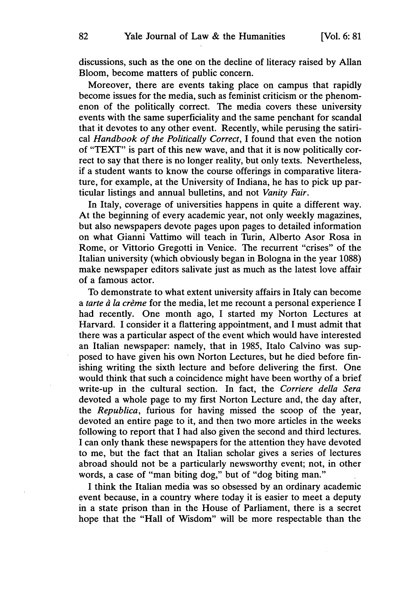discussions, such as the one on the decline of literacy raised by Allan Bloom, become matters of public concern.

Moreover, there are events taking place on campus that rapidly become issues for the media, such as feminist criticism or the phenomenon of the politically correct. The media covers these university events with the same superficiality and the same penchant for scandal that it devotes to any other event. Recently, while perusing the satirical *Handbook of the Politically Correct,* I found that even the notion of "TEXT" is part of this new wave, and that it is now politically correct to say that there is no longer reality, but only texts. Nevertheless, if a student wants to know the course offerings in comparative literature, for example, at the University of Indiana, he has to pick up particular listings and annual bulletins, and not *Vanity Fair.*

In Italy, coverage of universities happens in quite a different way. At the beginning of every academic year, not only weekly magazines, but also newspapers devote pages upon pages to detailed information on what Gianni Vattimo will teach in Turin, Alberto Asor Rosa in Rome, or Vittorio Gregotti in Venice. The recurrent "crises" of the Italian university (which obviously began in Bologna in the year 1088) make newspaper editors salivate just as much as the latest love affair of a famous actor.

To demonstrate to what extent university affairs in Italy can become *a tarte d la crime* for the media, let me recount a personal experience I had recently. One month ago, I started my Norton Lectures at Harvard. I consider it a flattering appointment, and I must admit that there was a particular aspect of the event which would have interested an Italian newspaper: namely, that in 1985, Italo Calvino was supposed to have given his own Norton Lectures, but he died before finishing writing the sixth lecture and before delivering the first. One would think that such a coincidence might have been worthy of a brief write-up in the cultural section. In fact, the *Corriere della Sera* devoted a whole page to my first Norton Lecture and, the day after, the *Republica,* furious for having missed the scoop of the year, devoted an entire page to it, and then two more articles in the weeks following to report that I had also given the second and third lectures. I can only thank these newspapers for the attention they have devoted to me, but the fact that an Italian scholar gives a series of lectures abroad should not be a particularly newsworthy event; not, in other words, a case of "man biting dog," but of "dog biting man."

I think the Italian media was so obsessed by an ordinary academic event because, in a country where today it is easier to meet a deputy in a state prison than in the House of Parliament, there is a secret hope that the "Hall of Wisdom" will be more respectable than the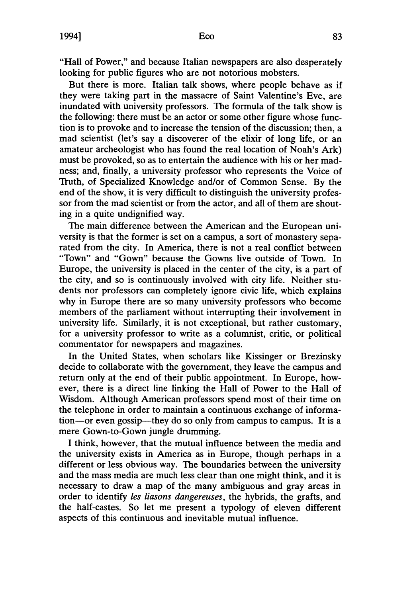"Hall of Power," and because Italian newspapers are also desperately looking for public figures who are not notorious mobsters.

But there is more. Italian talk shows, where people behave as if they were taking part in the massacre of Saint Valentine's Eve, are inundated with university professors. The formula of the talk show is the following: there must be an actor or some other figure whose function is to provoke and to increase the tension of the discussion; then, a mad scientist (let's say a discoverer of the elixir of long life, or an amateur archeologist who has found the real location of Noah's Ark) must be provoked, so as to entertain the audience with his or her madness; and, finally, a university professor who represents the Voice of Truth, of Specialized Knowledge and/or of Common Sense. By the end of the show, it is very difficult to distinguish the university professor from the mad scientist or from the actor, and all of them are shouting in a quite undignified way.

The main difference between the American and the European university is that the former is set on a campus, a sort of monastery separated from the city. In America, there is not a real conflict between "Town" and "Gown" because the Gowns live outside of Town. In Europe, the university is placed in the center of the city, is a part of the city, and so is continuously involved with city life. Neither students nor professors can completely ignore civic life, which explains why in Europe there are so many university professors who become members of the parliament without interrupting their involvement in university life. Similarly, it is not exceptional, but rather customary, for a university professor to write as a columnist, critic, or political commentator for newspapers and magazines.

In the United States, when scholars like Kissinger or Brezinsky decide to collaborate with the government, they leave the campus and return only at the end of their public appointment. In Europe, however, there is a direct line linking the Hall of Power to the Hall of Wisdom. Although American professors spend most of their time on the telephone in order to maintain a continuous exchange of information-or even gossip-they do so only from campus to campus. It is a mere Gown-to-Gown jungle drumming.

I think, however, that the mutual influence between the media and the university exists in America as in Europe, though perhaps in a different or less obvious way. The boundaries between the university and the mass media are much less clear than one might think, and it is necessary to draw a map of the many ambiguous and gray areas in order to identify *les liasons dangereuses,* the hybrids, the grafts, and the half-castes. So let me present a typology of eleven different aspects of this continuous and inevitable mutual influence.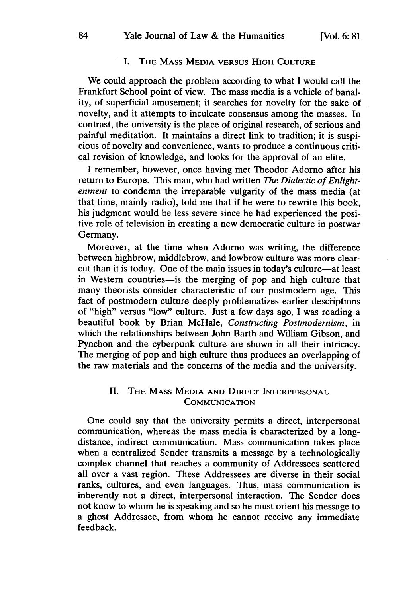## I. THE MASS MEDIA VERSUS HIGH CULTURE

We could approach the problem according to what I would call the Frankfurt School point of view. The mass media is a vehicle of banality, of superficial amusement; it searches for novelty for the sake of novelty, and it attempts to inculcate consensus among the masses. In contrast, the university is the place of original research, of serious and painful meditation. It maintains a direct link to tradition; it is suspicious of novelty and convenience, wants to produce a continuous critical revision of knowledge, and looks for the approval of an elite.

I remember, however, once having met Theodor Adorno after his return to Europe. This man, who had written *The Dialectic of Enlightenment* to condemn the irreparable vulgarity of the mass media (at that time, mainly radio), told me that if he were to rewrite this book, his judgment would be less severe since he had experienced the positive role of television in creating a new democratic culture in postwar Germany.

Moreover, at the time when Adorno was writing, the difference between highbrow, middlebrow, and lowbrow culture was more clearcut than it is today. One of the main issues in today's culture-at least in Western countries—is the merging of pop and high culture that many theorists consider characteristic of our postmodern age. This fact of postmodern culture deeply problematizes earlier descriptions of "high" versus "low" culture. Just a few days ago, I was reading a beautiful book by Brian McHale, *Constructing Postmodernism,* in which the relationships between John Barth and William Gibson, and Pynchon and the cyberpunk culture are shown in all their intricacy. The merging of pop and high culture thus produces an overlapping of the raw materials and the concerns of the media and the university.

## II. THE MASS MEDIA **AND** DIRECT INTERPERSONAL COMMUNICATION

One could say that the university permits a direct, interpersonal communication, whereas the mass media is characterized by a longdistance, indirect communication. Mass communication takes place when a centralized Sender transmits a message by a technologically complex channel that reaches a community of Addressees scattered all over a vast region. These Addressees are diverse in their social ranks, cultures, and even languages. Thus, mass communication is inherently not a direct, interpersonal interaction. The Sender does not know to whom he is speaking and so he must orient his message to a ghost Addressee, from whom he cannot receive any immediate feedback.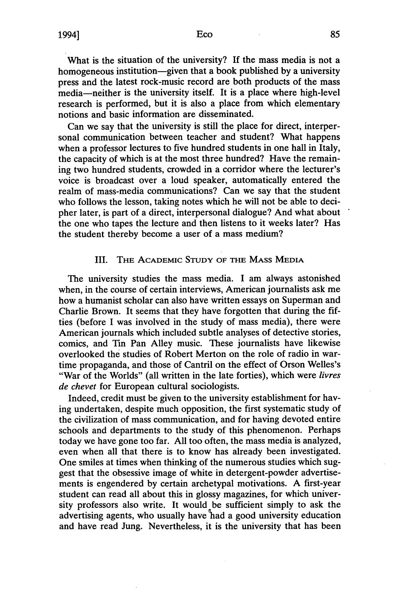What is the situation of the university? **If** the mass media is not a homogeneous institution—given that a book published by a university press and the latest rock-music record are both products of the mass media—neither is the university itself. It is a place where high-level research is performed, but it is also a place from which elementary notions and basic information are disseminated.

Can we say that the university is still the place for direct, interpersonal communication between teacher and student? What happens when a professor lectures to five hundred students in one hall in Italy, the capacity of which is at the most three hundred? Have the remaining two hundred students, crowded in a corridor where the lecturer's voice is broadcast over a loud speaker, automatically entered the realm of mass-media communications? Can we say that the student who follows the lesson, taking notes which he will not be able to decipher later, is part of a direct, interpersonal dialogue? And what about the one who tapes the lecture and then listens to it weeks later? Has the student thereby become a user of a mass medium?

## III. TiE **ACADEMIC STUDY** OF **THE MASS** MEDIA

The university studies the mass media. I am always astonished when, in the course of certain interviews, American journalists ask me how a humanist scholar can also have written essays on Superman and Charlie Brown. It seems that they have forgotten that during the fifties (before I was involved in the study of mass media), there were American journals which included subtle analyses of detective stories, comics, and Tin Pan Alley music. These journalists have likewise overlooked the studies of Robert Merton on the role of radio in wartime propaganda, and those of Cantril on the effect of Orson Welles's "War of the Worlds" (all written in the late forties), which were *livres de chevet* for European cultural sociologists.

Indeed, credit must be given to the university establishment for having undertaken, despite much opposition, the first systematic study of the civilization of mass communication, and for having devoted entire schools and departments to the study of this phenomenon. Perhaps today we have gone too far. All too often, the mass media is analyzed, even when all that there is to know has already been investigated. One smiles at times when thinking of the numerous studies which suggest that the obsessive image of white in detergent-powder advertisements is engendered by certain archetypal motivations. A first-year student can read all about this in glossy magazines, for which university professors also write. It would be sufficient simply to ask the advertising agents, who usually have had a good university education and have read Jung. Nevertheless, it is the university that has been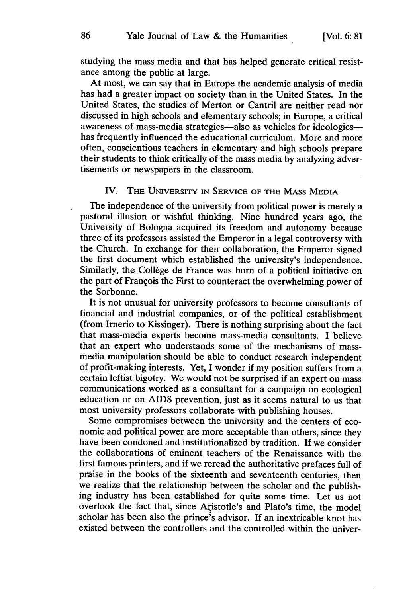studying the mass media and that has helped generate critical resistance among the public at large.

At most, we can say that in Europe the academic analysis of media has had a greater impact on society than in the United States. In the United States, the studies of Merton or Cantril are neither read nor discussed in high schools and elementary schools; in Europe, a critical awareness of mass-media strategies-also as vehicles for ideologieshas frequently influenced the educational curriculum. More and more often, conscientious teachers in elementary and high schools prepare their students to think critically of the mass media by analyzing advertisements or newspapers in the classroom.

## IV. THE UNIVERSITY **IN** SERVICE OF THE **MASS MEDIA**

The independence of the university from political power is merely a pastoral illusion or wishful thinking. Nine hundred years ago, the University of Bologna acquired its freedom and autonomy because three of its professors assisted the Emperor in a legal controversy with the Church. In exchange for their collaboration, the Emperor signed the first document which established the university's independence. Similarly, the Collège de France was born of a political initiative on the part of Franqois the First to counteract the overwhelming power of the Sorbonne.

It is not unusual for university professors to become consultants of financial and industrial companies, or of the political establishment (from Irnerio to Kissinger). There is nothing surprising about the fact that mass-media experts become mass-media consultants. I believe that an expert who understands some of the mechanisms of massmedia manipulation should be able to conduct research independent of profit-making interests. Yet, I wonder if my position suffers from a certain leftist bigotry. We would not be surprised if an expert on mass communications worked as a consultant for a campaign on ecological education or on AIDS prevention, just as it seems natural to us that most university professors collaborate with publishing houses.

Some compromises between the university and the centers of economic and political power are more acceptable than others, since they have been condoned and institutionalized by tradition. If we consider the collaborations of eminent teachers of the Renaissance with the first famous printers, and if we reread the authoritative prefaces full of praise in the books of the sixteenth and seventeenth centuries, then we realize that the relationship between the scholar and the publishing industry has been established for quite some time. Let us not overlook the fact that, since Aristotle's and Plato's time, the model scholar has been also the prince's advisor. If an inextricable knot has existed between the controllers and the controlled within the univer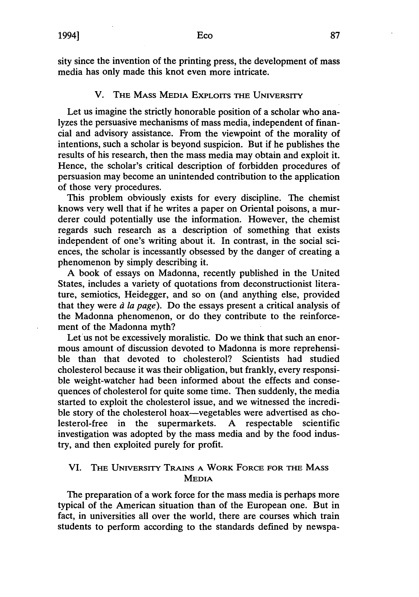sity since the invention of the printing press, the development of mass media has only made this knot even more intricate.

## V. THE MASS MEDIA EXPLOITS **THE** UNIVERSrrY

Let us imagine the strictly honorable position of a scholar who analyzes the persuasive mechanisms of mass media, independent of financial and advisory assistance. From the viewpoint of the morality of intentions, such a scholar is beyond suspicion. But if he publishes the results of his research, then the mass media may obtain and exploit it. Hence, the scholar's critical description of forbidden procedures of persuasion may become an unintended contribution to the application of those very procedures.

This problem obviously exists for every discipline. The chemist knows very well that if he writes a paper on Oriental poisons, a murderer could potentially use the information. However, the chemist regards such research as a description of something that exists independent of one's writing about it. In contrast, in the social sciences, the scholar is incessantly obsessed by the danger of creating a phenomenon by simply describing it.

A book of essays on Madonna, recently published in the United States, includes a variety of quotations from deconstructionist literature, semiotics, Heidegger, and so on (and anything else, provided that they were *d la page).* Do the essays present a critical analysis of the Madonna phenomenon, or do they contribute to the reinforcement of the Madonna myth?

Let us not be excessively moralistic. Do we think that such an enormous amount of discussion devoted to Madonna is more reprehensible than that devoted to cholesterol? Scientists had studied cholesterol because it was their obligation, but frankly, every responsible weight-watcher had been informed about the effects and consequences of cholesterol for quite some time. Then suddenly, the media started to exploit the cholesterol issue, and we witnessed the incredible story of the cholesterol hoax-vegetables were advertised as cholesterol-free in the supermarkets. A respectable scientific investigation was adopted by the mass media and by the food industry, and then exploited purely for profit.

## VI. THE UNIVERSITY TRAINS A WORK FORCE FOR THE MASS MEDIA

The preparation of a work force for the mass media is perhaps more typical of the American situation than of the European one. But in fact, in universities all over the world, there are courses which train students to perform according to the standards defined by newspa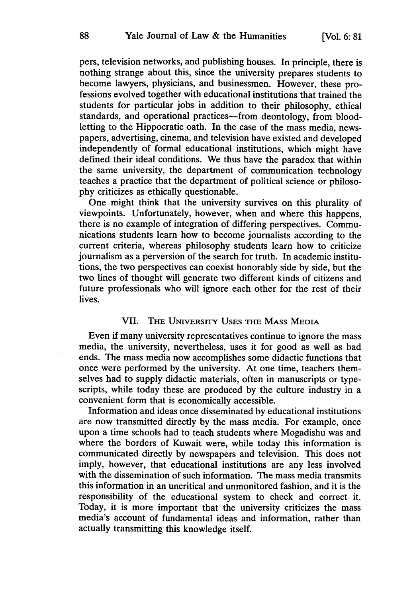pers, television networks, and publishing houses. In principle, there is nothing strange about this, since the university prepares students to become lawyers, physicians, and businessmen. However, these professions evolved together with educational institutions that trained the students for particular jobs in addition to their philosophy, ethical standards, and operational practices—from deontology, from bloodletting to the Hippocratic oath. In the case of the mass media, newspapers, advertising, cinema, and television have existed and developed independently of formal educational institutions, which might have defined their ideal conditions. We thus have the paradox that within the same university, the department of communication technology teaches a practice that the department of political science or philosophy criticizes as ethically questionable.

One might think that the university survives on this plurality of viewpoints. Unfortunately, however, when and where this happens, there is no example of integration of differing perspectives. Communications students learn how to become journalists according to the current criteria, whereas philosophy students learn how to criticize journalism as a perversion of the search for truth. In academic institutions, the two perspectives can coexist honorably side by side, but the two lines of thought will generate two different kinds of citizens and future professionals who will ignore each other for the rest of their lives.

## VII. THE **UNIVERSITY** USES **THE** MASS **MEDIA**

Even if many university representatives continue to ignore the mass media, the university, nevertheless, uses it for good as well as bad ends. The mass media now accomplishes some didactic functions that once were performed by the university. At one time, teachers themselves had to supply didactic materials, often in manuscripts or typescripts, while today these are produced by the culture industry in a convenient form that is economically accessible.

Information and ideas once disseminated by educational institutions are now transmitted directly by the mass media. For example, once upon a time schools had to teach students where Mogadishu was and where the borders of Kuwait were, while today this information is communicated directly by newspapers and television. This does not imply, however, that educational institutions are any less involved with the dissemination of such information. The mass media transmits this information in an uncritical and unmonitored fashion, and it is the responsibility of the educational system to check and correct it. Today, it is more important that the university criticizes the mass media's account of fundamental ideas and information, rather than actually transmitting this knowledge itself.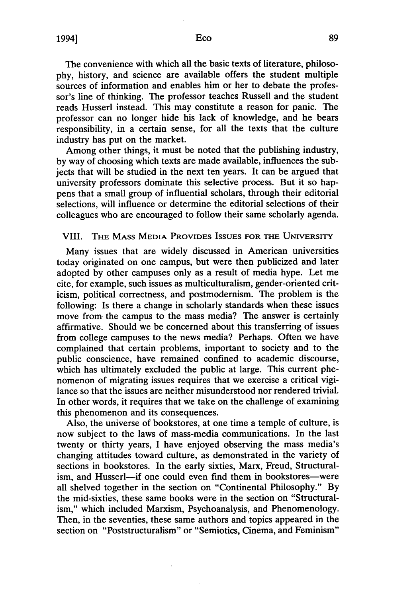The convenience with which all the basic texts of literature, philosophy, history, and science are available offers the student multiple sources of information and enables him or her to debate the professor's line of thinking. The professor teaches Russell and the student reads Husserl instead. This may constitute a reason for panic. The professor can no longer hide his lack of knowledge, and he bears responsibility, in a certain sense, for all the texts that the culture industry has put on the market.

Among other things, it must be noted that the publishing industry, by way of choosing which texts are made available, influences the subjects that will be studied in the next ten years. It can be argued that university professors dominate this selective process. But it so happens that a small group of influential scholars, through their editorial selections, will influence or determine the editorial selections of their colleagues who are encouraged to follow their same scholarly agenda.

## VIII. **THE MASS MEDIA** PROVIDES **ISSUES** FOR **THE** UNIVERSITY

Many issues that are widely discussed in American universities today originated on one campus, but were then publicized and later adopted by other campuses only as a result of media hype. Let me cite, for example, such issues as multiculturalism, gender-oriented criticism, political correctness, and postmodernism. The problem is the following: Is there a change in scholarly standards when these issues move from the campus to the mass media? The answer is certainly affirmative. Should we be concerned about this transferring of issues from college campuses to the news media? Perhaps. Often we have complained that certain problems, important to society and to the public conscience, have remained confined to academic discourse, which has ultimately excluded the public at large. This current phenomenon of migrating issues requires that we exercise a critical vigilance so that the issues are neither misunderstood nor rendered trivial. In other words, it requires that we take on the challenge of examining this phenomenon and its consequences.

Also, the universe of bookstores, at one time a temple of culture, is now subject to the laws of mass-media communications. In the last twenty or thirty years, I have enjoyed observing the mass media's changing attitudes toward culture, as demonstrated in the variety of sections in bookstores. In the early sixties, Marx, Freud, Structuralism, and Husserl—if one could even find them in bookstores—were all shelved together in the section on "Continental Philosophy." By the mid-sixties, these same books were in the section on "Structuralism," which included Marxism, Psychoanalysis, and Phenomenology. Then, in the seventies, these same authors and topics appeared in the section on "Poststructuralism" or "Semiotics, Cinema, and Feminism"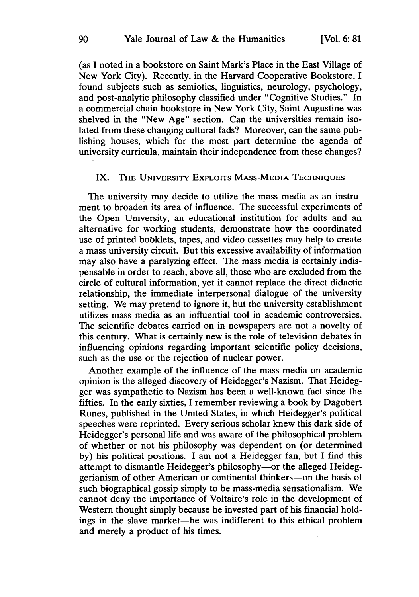(as I noted in a bookstore on Saint Mark's Place in the East Village of New York City). Recently, in the Harvard Cooperative Bookstore, I found subjects such as semiotics, linguistics, neurology, psychology, and post-analytic philosophy classified under "Cognitive Studies." In a commercial chain bookstore in New York City, Saint Augustine was shelved in the "New Age" section. Can the universities remain isolated from these changing cultural fads? Moreover, can the same publishing houses, which for the most part determine the agenda of university curricula, maintain their independence from these changes?

## IX. THE UNIVERSITY EXPLOITS MASS-MEDIA **TECHNIQUES**

The university may decide to utilize the mass media as an instrument to broaden its area of influence. The successful experiments of the Open University, an educational institution for adults and an alternative for working students, demonstrate how the coordinated use of printed bobklets, tapes, and video cassettes may help to create a mass university circuit. But this excessive availability of information may also have a paralyzing effect. The mass media is certainly indispensable in order to reach, above all, those who are excluded from the circle of cultural information, yet it cannot replace the direct didactic relationship, the immediate interpersonal dialogue of the university setting. We may pretend to ignore it, but the university establishment utilizes mass media as an influential tool in academic controversies. The scientific debates carried on in newspapers are not a novelty of this century. What is certainly new is the role of television debates in influencing opinions regarding important scientific policy decisions, such as the use or the rejection of nuclear power.

Another example of the influence of the mass media on academic opinion is the alleged discovery of Heidegger's Nazism. That Heidegger was sympathetic to Nazism has been a well-known fact since the fifties. In the early sixties, I remember reviewing a book **by** Dagobert Runes, published in the United States, in which Heidegger's political speeches were reprinted. Every serious scholar knew this dark side of Heidegger's personal life and was aware of the philosophical problem of whether or not his philosophy was dependent on (or determined **by)** his political positions. I am not a Heidegger fan, but **I** find this attempt to dismantle Heidegger's philosophy-or the alleged Heideggerianism of other American or continental thinkers-on the basis of such biographical gossip simply to be mass-media sensationalism. We cannot deny the importance of Voltaire's role in the development of Western thought simply because he invested part of his financial holdings in the slave market—he was indifferent to this ethical problem and merely a product of his times.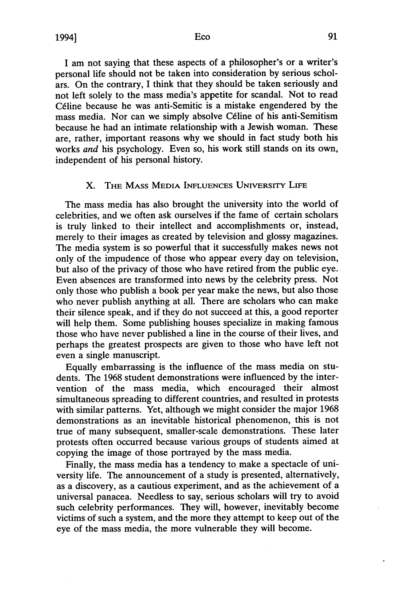I am not saying that these aspects of a philosopher's or a writer's personal life should not be taken into consideration **by** serious scholars. On the contrary, I think that they should be taken seriously and not left solely to the mass media's appetite for scandal. Not to read C6line because he was anti-Semitic is a mistake engendered **by** the mass media. Nor can we simply absolve Céline of his anti-Semitism because he had an intimate relationship with a Jewish woman. These are, rather, important reasons why we should in fact study both his works *and* his psychology. Even so, his work still stands on its own, independent of his personal history.

## X. THE MASS **MEDIA INFLUENCES** UNIVERSITY LIFE

The mass media has also brought the university into the world of celebrities, and we often ask ourselves if the fame of certain scholars is truly linked to their intellect and accomplishments or, instead, merely to their images as created by television and glossy magazines. The media system is so powerful that it successfully makes news not only of the impudence of those who appear every day on television, but also of the privacy of those who have retired from the public eye. Even absences are transformed into news by the celebrity press. Not only those who publish a book per year make the news, but also those who never publish anything at all. There are scholars who can make their silence speak, and if they do not succeed at this, a good reporter will help them. Some publishing houses specialize in making famous those who have never published a line in the course of their lives, and perhaps the greatest prospects are given to those who have left not even a single manuscript.

Equally embarrassing is the influence of the mass media on students. The 1968 student demonstrations were influenced by the intervention of the mass media, which encouraged their almost simultaneous spreading to different countries, and resulted in protests with similar patterns. Yet, although we might consider the major 1968 demonstrations as an inevitable historical phenomenon, this is not true of many subsequent, smaller-scale demonstrations. These later protests often occurred because various groups of students aimed at copying the image of those portrayed by the mass media.

Finally, the mass media has a tendency to make a spectacle of university life. The announcement of a study is presented, alternatively, as a discovery, as a cautious experiment, and as the achievement of a universal panacea. Needless to say, serious scholars will try to avoid such celebrity performances. They will, however, inevitably become victims of such a system, and the more they attempt to keep out of the eye of the mass media, the more vulnerable they will become.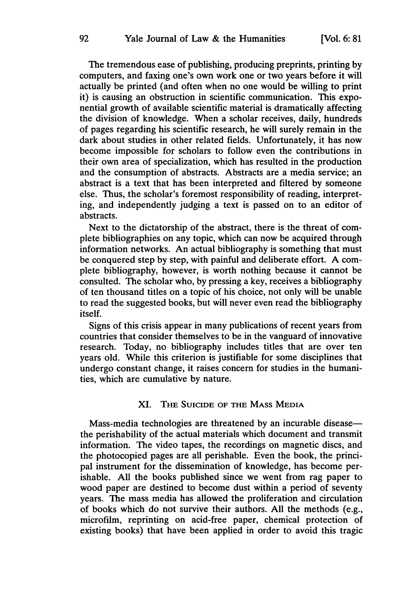The tremendous ease of publishing, producing preprints, printing by computers, and faxing one's own work one or two years before it will actually be printed (and often when no one would be willing to print it) is causing an obstruction in scientific communication. This exponential growth of available scientific material is dramatically affecting the division of knowledge. When a scholar receives, daily, hundreds of pages regarding his scientific research, he will surely remain in the dark about studies in other related fields. Unfortunately, it has now become impossible for scholars to follow even the contributions in their own area of specialization, which has resulted in the production and the consumption of abstracts. Abstracts are a media service; an abstract is a text that has been interpreted and filtered by someone else. Thus, the scholar's foremost responsibility of reading, interpreting, and independently judging a text is passed on to an editor of abstracts.

Next to the dictatorship of the abstract, there is the threat of complete bibliographies on any topic, which can now be acquired through information networks. An actual bibliography is something that must be conquered step by step, with painful and deliberate effort. A complete bibliography, however, is worth nothing because it cannot be consulted. The scholar who, by pressing a key, receives a bibliography of ten thousand titles on a topic of his choice, not only will be unable to read the suggested books, but will never even read the bibliography itself.

Signs of this crisis appear in many publications of recent years from countries that consider themselves to be in the vanguard of innovative research. Today, no bibliography includes titles that are over ten years old. While this criterion is justifiable for some disciplines that undergo constant change, it raises concern for studies in the humanities, which are cumulative by nature.

## **XI. THE** SUICIDE OF THE **MASS** MEDIA

Mass-media technologies are threatened by an incurable disease the perishability of the actual materials which document and transmit information. The video tapes, the recordings on magnetic discs, and the photocopied pages are all perishable. Even the book, the principal instrument for the dissemination of knowledge, has become perishable. All the books published since we went from rag paper to wood paper are destined to become dust within a period of seventy years. The mass media has allowed the proliferation and circulation of books which do not survive their authors. All the methods (e.g., microfilm, reprinting on acid-free paper, chemical protection of existing books) that have been applied in order to avoid this tragic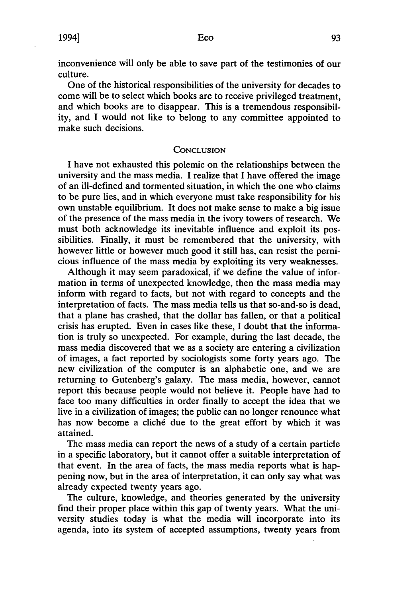inconvenience will only be able to save part of the testimonies of our culture.

One of the historical responsibilities of the university for decades to come will be to select which books are to receive privileged treatment, and which books are to disappear. This is a tremendous responsibility, and I would not like to belong to any committee appointed to make such decisions.

#### **CONCLUSION**

I have not exhausted this polemic on the relationships between the university and the mass media. I realize that I have offered the image of an ill-defined and tormented situation, in which the one who claims to be pure lies, and in which everyone must take responsibility for his own unstable equilibrium. It does not make sense to make a big issue of the presence of the mass media in the ivory towers of research. We must both acknowledge its inevitable influence and exploit its possibilities. Finally, it must be remembered that the university, with however little or however much good it still has, can resist the pernicious influence of the mass media by exploiting its very weaknesses.

Although it may seem paradoxical, if we define the value of information in terms of unexpected knowledge, then the mass media may inform with regard to facts, but not with regard to concepts and the interpretation of facts. The mass media tells us that so-and-so is dead, that a plane has crashed, that the dollar has fallen, or that a political crisis has erupted. Even in cases like these, I doubt that the information is truly so unexpected. For example, during the last decade, the mass media discovered that we as a society are entering a civilization of images, a fact reported by sociologists some forty years ago. The new civilization of the computer is an alphabetic one, and we are returning to Gutenberg's galaxy. The mass media, however, cannot report this because people would not believe it. People have had to face too many difficulties in order finally to accept the idea that we live in a civilization of images; the public can no longer renounce what has now become a cliché due to the great effort by which it was attained.

The mass media can report the news of a study of a certain particle in a specific laboratory, but it cannot offer a suitable interpretation of that event. In the area of facts, the mass media reports what is happening now, but in the area of interpretation, it can only say what was already expected twenty years ago.

The culture, knowledge, and theories generated by the university find their proper place within this gap of twenty years. What the university studies today is what the media will incorporate into its agenda, into its system of accepted assumptions, twenty years from